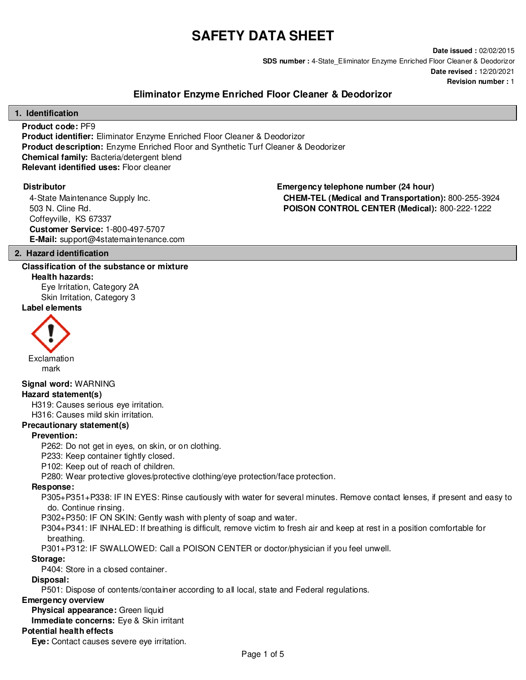# **SAFETY DATA SHEET**

**Date issued :** 02/02/2015 **SDS number :** 4-State\_Eliminator Enzyme Enriched Floor Cleaner & Deodorizor **Date revised :** 12/20/2021 **Revision number :** 1

# **Eliminator Enzyme Enriched Floor Cleaner & Deodorizor**

#### **1. Identification**

**Product code:** PF9 **Product identifier:** Eliminator Enzyme Enriched Floor Cleaner & Deodorizor **Product description:** Enzyme Enriched Floor and Synthetic Turf Cleaner & Deodorizer **Chemical family:** Bacteria/detergent blend **Relevant identified uses:** Floor cleaner

4-State Maintenance Supply Inc. 503 N. Cline Rd. Coffeyville, KS 67337 **Customer Service:** 1-800-497-5707 **E-Mail:** support@4statemaintenance.com

**Distributor Emergency telephone number (24 hour) CHEM-TEL (Medical and Transportation):** 800-255-3924 **POISON CONTROL CENTER (Medical):** 800-222-1222

#### **2. Hazard identification**

#### **Classification of the substance or mixture**

**Health hazards:** Eye Irritation, Category 2A Skin Irritation, Category 3

#### **Label elements**



mark

### **Signal word:** WARNING

#### **Hazard statement(s)**

H319: Causes serious eye irritation.

H316: Causes mild skin irritation.

# **Precautionary statement(s)**

#### **Prevention:**

P262: Do not get in eyes, on skin, or on clothing.

P233: Keep container tightly closed.

P102: Keep out of reach of children.

P280: Wear protective gloves/protective clothing/eye protection/face protection.

#### **Response:**

P305+P351+P338: IF IN EYES: Rinse cautiously with water for several minutes. Remove contact lenses, if present and easy to do. Continue rinsing.

P302+P350: IF ON SKIN: Gently wash with plenty of soap and water.

P304+P341: IF INHALED: If breathing is difficult, remove victim to fresh air and keep at rest in a position comfortable for breathing.

P301+P312: IF SWALLOWED: Call a POISON CENTER or doctor/physician if you feel unwell.

#### **Storage:**

P404: Store in a closed container.

#### **Disposal:**

P501: Dispose of contents/container according to all local, state and Federal regulations.

#### **Emergency overview**

**Physical appearance:** Green liquid

**Immediate concerns:** Eye & Skin irritant

#### **Potential health effects**

**Eye:** Contact causes severe eye irritation.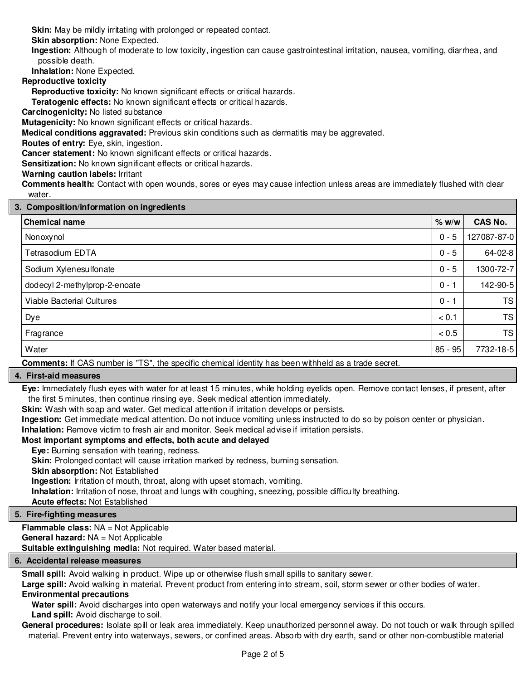**Skin:** May be mildly irritating with prolonged or repeated contact.

**Skin absorption:** None Expected.

**Ingestion:** Although of moderate to low toxicity, ingestion can cause gastrointestinal irritation, nausea, vomiting, diarrhea, and possible death.

**Inhalation:** None Expected.

**Reproductive toxicity**

**Reproductive toxicity:** No known significant effects or critical hazards.

**Teratogenic effects:** No known significant effects or critical hazards.

**Carcinogenicity:** No listed substance

**Mutagenicity:** No known significant effects or critical hazards.

**Medical conditions aggravated:** Previous skin conditions such as dermatitis may be aggrevated.

**Routes of entry:** Eye, skin, ingestion.

**Cancer statement:** No known significant effects or critical hazards.

**Sensitization:** No known significant effects or critical hazards.

### **Warning caution labels:** Irritant

**Comments health:** Contact with open wounds, sores or eyes may cause infection unless areas are immediately flushed with clear water.

#### **3. Composition/information on ingredients**

| <b>Chemical name</b>          | % w/w     | <b>CAS No.</b> |  |  |  |
|-------------------------------|-----------|----------------|--|--|--|
| Nonoxynol                     | $0 - 5$   | 127087-87-0    |  |  |  |
| Tetrasodium EDTA              | $0 - 5$   | 64-02-8        |  |  |  |
| Sodium Xylenesulfonate        | $0 - 5$   | 1300-72-7      |  |  |  |
| dodecyl 2-methylprop-2-enoate | $0 - 1$   | 142-90-5       |  |  |  |
| Viable Bacterial Cultures     | $0 - 1$   | <b>TS</b>      |  |  |  |
| Dye                           | < 0.1     | <b>TS</b>      |  |  |  |
| Fragrance                     | < 0.5     | <b>TS</b>      |  |  |  |
| Water                         | $85 - 95$ | 7732-18-5      |  |  |  |
|                               |           |                |  |  |  |

**Comments:** If CAS number is "TS", the specific chemical identity has been withheld as a trade secret.

#### **4. First-aid measures**

**Eye:** Immediately flush eyes with water for at least 15 minutes, while holding eyelids open. Remove contact lenses, if present, after the first 5 minutes, then continue rinsing eye. Seek medical attention immediately.

**Skin:** Wash with soap and water. Get medical attention if irritation develops or persists.

**Ingestion:** Get immediate medical attention. Do not induce vomiting unless instructed to do so by poison center or physician.

**Inhalation:** Remove victim to fresh air and monitor. Seek medical advise if irritation persists.

#### **Most important symptoms and effects, both acute and delayed**

**Eye:** Burning sensation with tearing, redness.

**Skin:** Prolonged contact will cause irritation marked by redness, burning sensation.

**Skin absorption:** Not Established

**Ingestion:** Irritation of mouth, throat, along with upset stomach, vomiting.

**Inhalation:** Irritation of nose, throat and lungs with coughing, sneezing, possible difficulty breathing.

**Acute effects:** Not Established

#### **5. Fire-fighting measures**

**Flammable class:** NA = Not Applicable **General hazard:** NA = Not Applicable **Suitable extinguishing media:** Not required. Water based material.

#### **6. Accidental release measures**

**Small spill:** Avoid walking in product. Wipe up or otherwise flush small spills to sanitary sewer.

**Large spill:** Avoid walking in material. Prevent product from entering into stream, soil, storm sewer or other bodies of water. **Environmental precautions**

**Water spill:** Avoid discharges into open waterways and notify your local emergency services if this occurs.

# **Land spill:** Avoid discharge to soil.

**General procedures:** Isolate spill or leak area immediately. Keep unauthorized personnel away. Do not touch or walk through spilled material. Prevent entry into waterways, sewers, or confined areas. Absorb with dry earth, sand or other non-combustible material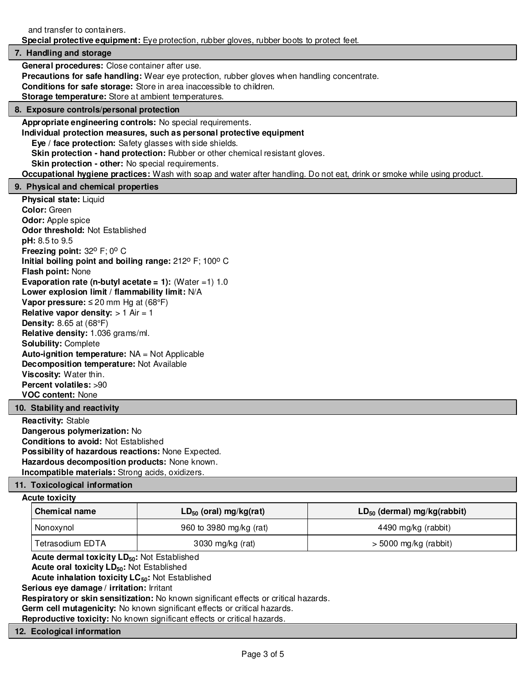and transfer to containers.

**Special protective equipment:** Eye protection, rubber gloves, rubber boots to protect feet.

#### **7. Handling and storage**

**General procedures:** Close container after use.

**Precautions for safe handling:** Wear eye protection, rubber gloves when handling concentrate.

**Conditions for safe storage:** Store in area inaccessible to children.

**Storage temperature:** Store at ambient temperatures.

#### **8. Exposure controls/personal protection**

**Appropriate engineering controls:** No special requirements.

**Individual protection measures, such as personal protective equipment**

**Eye / face protection:** Safety glasses with side shields.

**Skin protection - hand protection:** Rubber or other chemical resistant gloves.

**Skin protection - other:** No special requirements.

**Occupational hygiene practices:** Wash with soap and water after handling. Do not eat, drink or smoke while using product.

#### **9. Physical and chemical properties**

**Physical state:** Liquid **Color:** Green **Odor:** Apple spice **Odor threshold:** Not Established **pH:** 8.5 to 9.5 **Freezing point:** 32° F; 0° C **Initial boiling point and boiling range:** 212° F; 100° C **Flash point:** None **Evaporation rate (n-butyl acetate = 1):** (Water =1) 1.0 **Lower explosion limit / flammability limit:** N/A **Vapor pressure:** ≤ 20 mm Hg at (68°F) **Relative vapor density:**  $> 1$  Air = 1 **Density:** 8.65 at (68°F) **Relative density:** 1.036 grams/ml. **Solubility:** Complete **Auto-ignition temperature:** NA = Not Applicable **Decomposition temperature:** Not Available **Viscosity:** Water thin. **Percent volatiles:** >90 **VOC content:** None

#### **10. Stability and reactivity**

**Reactivity:** Stable **Dangerous polymerization:** No **Conditions to avoid:** Not Established **Possibility of hazardous reactions:** None Expected. **Hazardous decomposition products:** None known. **Incompatible materials:** Strong acids, oxidizers.

#### **11. Toxicological information**

#### **Acute toxicity**

| Chemical name    | $LD_{50}$ (oral) mg/kg(rat) | $LD_{50}$ (dermal) mg/kg(rabbit) |  |
|------------------|-----------------------------|----------------------------------|--|
| Nonoxynol        | 960 to 3980 mg/kg (rat)     | 4490 mg/kg (rabbit)              |  |
| Tetrasodium EDTA | 3030 mg/kg (rat)            | $>$ 5000 mg/kg (rabbit)          |  |

**Acute dermal toxicity LD50:** Not Established

**Acute oral toxicity LD50:** Not Established

**Acute inhalation toxicity LC50:** Not Established

**Serious eye damage / irritation:** Irritant

**Respiratory or skin sensitization:** No known significant effects or critical hazards.

**Germ cell mutagenicity:** No known significant effects or critical hazards.

**Reproductive toxicity:** No known significant effects or critical hazards.

## **12. Ecological information**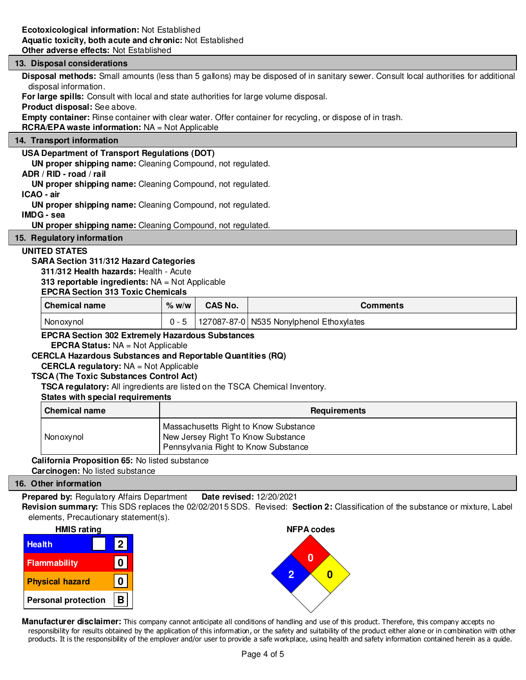#### **13. Disposal considerations**

**Disposal methods:** Small amounts (less than 5 gallons) may be disposed of in sanitary sewer. Consult local authorities for additional disposal information.

**For large spills:** Consult with local and state authorities for large volume disposal.

**Product disposal:** See above.

**Empty container:** Rinse container with clear water. Offer container for recycling, or dispose of in trash.

**RCRA/EPA waste information:** NA = Not Applicable

#### **14. Transport information**

#### **USA Department of Transport Regulations (DOT)**

**UN proper shipping name:** Cleaning Compound, not regulated.

#### **ADR / RID - road / rail**

**UN proper shipping name:** Cleaning Compound, not regulated.

#### **ICAO - air**

**UN proper shipping name:** Cleaning Compound, not regulated.

#### **IMDG - sea**

**UN proper shipping name:** Cleaning Compound, not regulated.

#### **15. Regulatory information**

#### **UNITED STATES**

#### **SARA Section 311/312 Hazard Categories**

**311/312 Health hazards:** Health - Acute

#### **313 reportable ingredients:** NA = Not Applicable

#### **EPCRA Section 313 Toxic Chemicals**

| Chemical name | $%$ w/w | <b>CAS No.</b> | Comments                                 |
|---------------|---------|----------------|------------------------------------------|
| Nonoxynol     |         |                | 127087-87-0 N535 Nonylphenol Ethoxylates |

#### **EPCRA Section 302 Extremely Hazardous Substances**

**EPCRA Status:** NA = Not Applicable

#### **CERCLA Hazardous Substances and Reportable Quantities (RQ)**

#### **CERCLA regulatory:** NA = Not Applicable

#### **TSCA (The Toxic Substances Control Act)**

**TSCA regulatory:** All ingredients are listed on the TSCA Chemical Inventory.

#### **States with special requirements**

| <b>Chemical name</b> | <b>Requirements</b>                                                                                                 |  |  |
|----------------------|---------------------------------------------------------------------------------------------------------------------|--|--|
| Nonoxynol            | Massachusetts Right to Know Substance<br>New Jersey Right To Know Substance<br>Pennsylvania Right to Know Substance |  |  |

#### **California Proposition 65:** No listed substance **Carcinogen:** No listed substance

#### **16. Other information**

**Prepared by:** Regulatory Affairs Department **Date revised:** 12/20/2021

**Revision summary:** This SDS replaces the 02/02/2015 SDS. Revised: **Section 2:** Classification of the substance or mixture, Label elements, Precautionary statement(s).



**Manufacturer disclaimer:** This company cannot anticipate all conditions of handling and use of this product. Therefore, this company accepts no responsibility for results obtained by the application of this information, or the safety and suitability of the product either alone or in combination with other products. It is the responsibility of the employer and/or user to provide a safe workplace, using health and safety information contained herein as a guide.